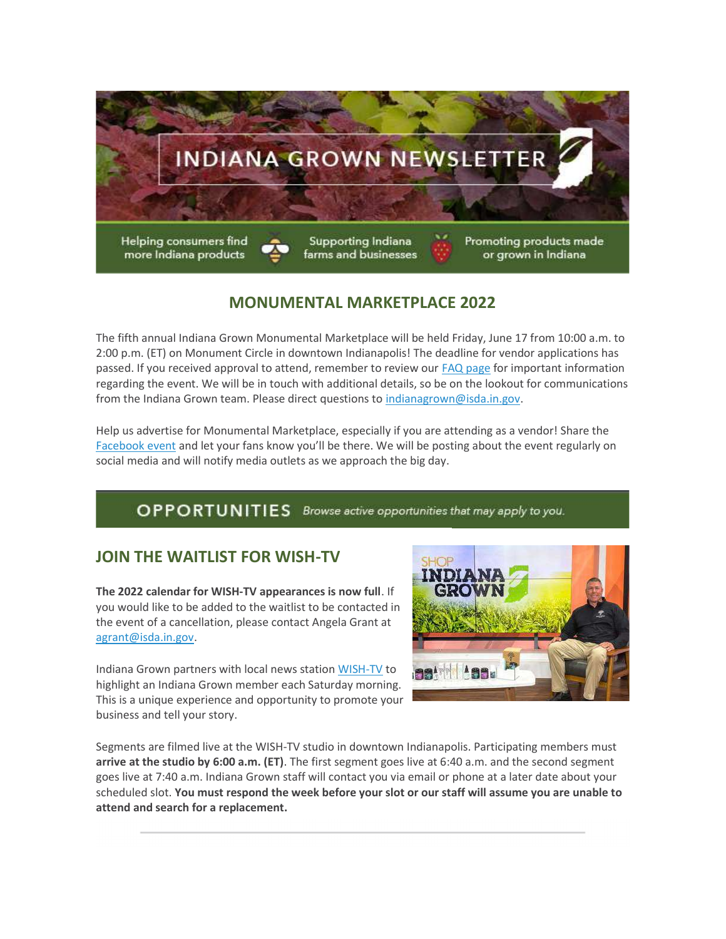

#### MONUMENTAL MARKETPLACE 2022

The fifth annual Indiana Grown Monumental Marketplace will be held Friday, June 17 from 10:00 a.m. to 2:00 p.m. (ET) on Monument Circle in downtown Indianapolis! The deadline for vendor applications has passed. If you received approval to attend, remember to review our FAQ page for important information regarding the event. We will be in touch with additional details, so be on the lookout for communications from the Indiana Grown team. Please direct questions to indianagrown@isda.in.gov.

Help us advertise for Monumental Marketplace, especially if you are attending as a vendor! Share the Facebook event and let your fans know you'll be there. We will be posting about the event regularly on social media and will notify media outlets as we approach the big day.

#### OPPORTUNITIES Browse active opportunities that may apply to you.

#### JOIN THE WAITLIST FOR WISH-TV

The 2022 calendar for WISH-TV appearances is now full. If you would like to be added to the waitlist to be contacted in the event of a cancellation, please contact Angela Grant at agrant@isda.in.gov.

Indiana Grown partners with local news station WISH-TV to highlight an Indiana Grown member each Saturday morning. This is a unique experience and opportunity to promote your business and tell your story.



Segments are filmed live at the WISH-TV studio in downtown Indianapolis. Participating members must arrive at the studio by 6:00 a.m. (ET). The first segment goes live at 6:40 a.m. and the second segment goes live at 7:40 a.m. Indiana Grown staff will contact you via email or phone at a later date about your scheduled slot. You must respond the week before your slot or our staff will assume you are unable to attend and search for a replacement.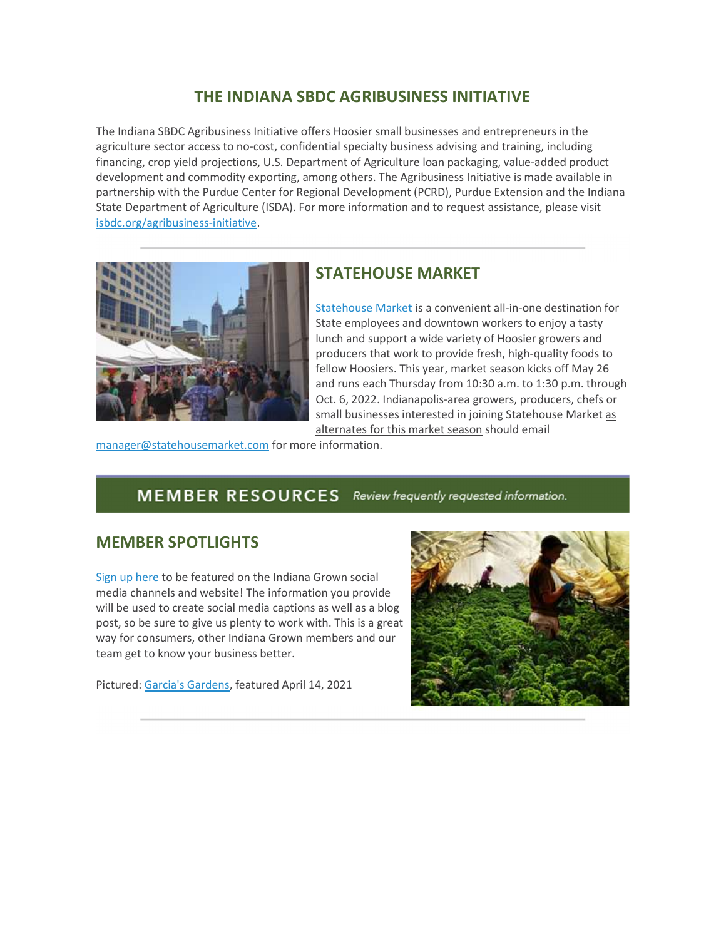### THE INDIANA SBDC AGRIBUSINESS INITIATIVE

The Indiana SBDC Agribusiness Initiative offers Hoosier small businesses and entrepreneurs in the agriculture sector access to no-cost, confidential specialty business advising and training, including financing, crop yield projections, U.S. Department of Agriculture loan packaging, value-added product development and commodity exporting, among others. The Agribusiness Initiative is made available in partnership with the Purdue Center for Regional Development (PCRD), Purdue Extension and the Indiana State Department of Agriculture (ISDA). For more information and to request assistance, please visit isbdc.org/agribusiness-initiative.



#### STATEHOUSE MARKET

Statehouse Market is a convenient all-in-one destination for State employees and downtown workers to enjoy a tasty lunch and support a wide variety of Hoosier growers and producers that work to provide fresh, high-quality foods to fellow Hoosiers. This year, market season kicks off May 26 and runs each Thursday from 10:30 a.m. to 1:30 p.m. through Oct. 6, 2022. Indianapolis-area growers, producers, chefs or small businesses interested in joining Statehouse Market as alternates for this market season should email

manager@statehousemarket.com for more information.

## MEMBER RESOURCES Review frequently requested information.

#### MEMBER SPOTLIGHTS

Sign up here to be featured on the Indiana Grown social media channels and website! The information you provide will be used to create social media captions as well as a blog post, so be sure to give us plenty to work with. This is a great way for consumers, other Indiana Grown members and our team get to know your business better.

Pictured: Garcia's Gardens, featured April 14, 2021